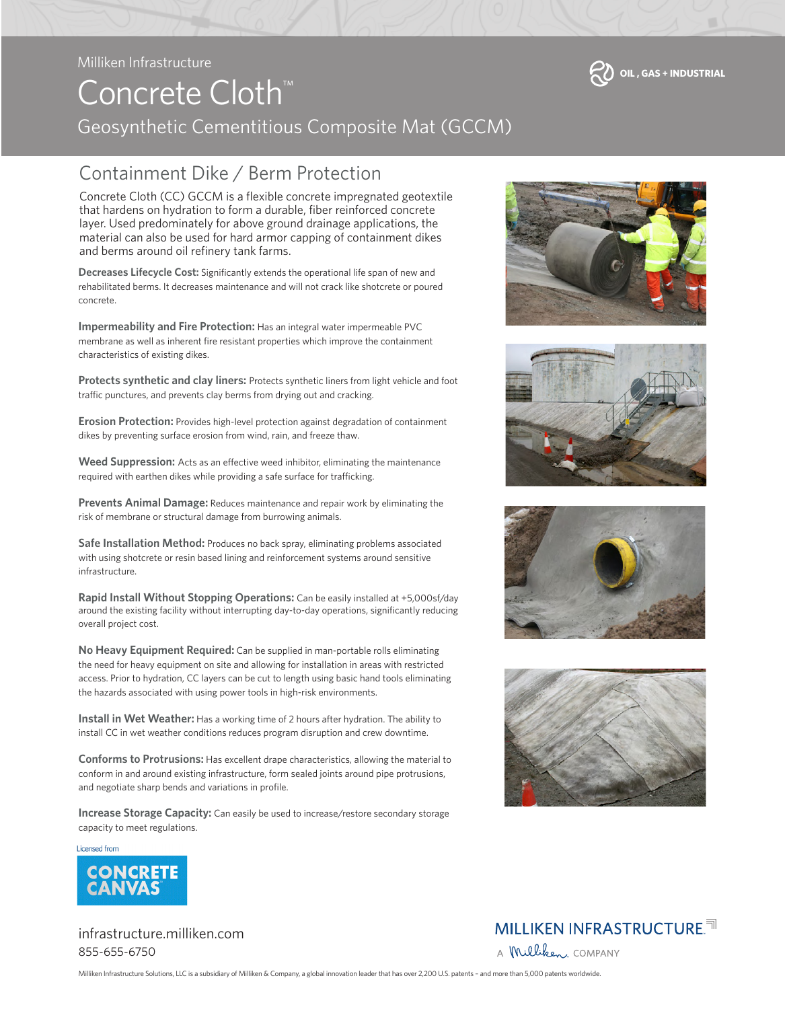#### Milliken Infrastructure

# Concrete Cloth™ Geosynthetic Cementitious Composite Mat (GCCM)

### Containment Dike / Berm Protection

Concrete Cloth (CC) GCCM is a flexible concrete impregnated geotextile that hardens on hydration to form a durable, fiber reinforced concrete layer. Used predominately for above ground drainage applications, the material can also be used for hard armor capping of containment dikes and berms around oil refinery tank farms.

**Decreases Lifecycle Cost:** Significantly extends the operational life span of new and rehabilitated berms. It decreases maintenance and will not crack like shotcrete or poured concrete.

**Impermeability and Fire Protection:** Has an integral water impermeable PVC membrane as well as inherent fire resistant properties which improve the containment characteristics of existing dikes.

**Protects synthetic and clay liners:** Protects synthetic liners from light vehicle and foot traffic punctures, and prevents clay berms from drying out and cracking.

**Erosion Protection:** Provides high-level protection against degradation of containment dikes by preventing surface erosion from wind, rain, and freeze thaw.

**Weed Suppression:** Acts as an effective weed inhibitor, eliminating the maintenance required with earthen dikes while providing a safe surface for trafficking.

**Prevents Animal Damage:** Reduces maintenance and repair work by eliminating the risk of membrane or structural damage from burrowing animals.

**Safe Installation Method:** Produces no back spray, eliminating problems associated with using shotcrete or resin based lining and reinforcement systems around sensitive infrastructure.

**Rapid Install Without Stopping Operations:** Can be easily installed at +5,000sf/day around the existing facility without interrupting day-to-day operations, significantly reducing overall project cost.

**No Heavy Equipment Required:** Can be supplied in man-portable rolls eliminating the need for heavy equipment on site and allowing for installation in areas with restricted access. Prior to hydration, CC layers can be cut to length using basic hand tools eliminating the hazards associated with using power tools in high-risk environments.

**Install in Wet Weather:** Has a working time of 2 hours after hydration. The ability to install CC in wet weather conditions reduces program disruption and crew downtime.

**Conforms to Protrusions:** Has excellent drape characteristics, allowing the material to conform in and around existing infrastructure, form sealed joints around pipe protrusions, and negotiate sharp bends and variations in profile.

**Increase Storage Capacity:** Can easily be used to increase/restore secondary storage capacity to meet regulations.

Licensed from



infrastructure.milliken.com 855-655-6750









#### **MILLIKEN INFRASTRUCTURE.<sup>ना</sup>** A Milliken COMPANY

Milliken Infrastructure Solutions, LLC is a subsidiary of Milliken & Company, a global innovation leader that has over 2,200 U.S. patents – and more than 5,000 patents worldwide.